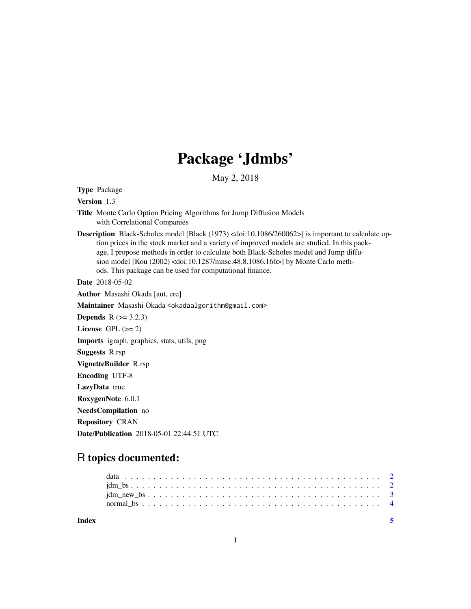## Package 'Jdmbs'

May 2, 2018

Type Package

Version 1.3

- Title Monte Carlo Option Pricing Algorithms for Jump Diffusion Models with Correlational Companies
- Description Black-Scholes model [Black (1973) <doi:10.1086/260062>] is important to calculate option prices in the stock market and a variety of improved models are studied. In this package, I propose methods in order to calculate both Black-Scholes model and Jump diffusion model [Kou (2002) <doi:10.1287/mnsc.48.8.1086.166>] by Monte Carlo methods. This package can be used for computational finance.

Date 2018-05-02

Author Masashi Okada [aut, cre]

Maintainer Masashi Okada <okadaalgorithm@gmail.com>

**Depends**  $R$  ( $>= 3.2.3$ )

License GPL  $(>= 2)$ 

Imports igraph, graphics, stats, utils, png

Suggests R.rsp

VignetteBuilder R.rsp

Encoding UTF-8

LazyData true

RoxygenNote 6.0.1

NeedsCompilation no

Repository CRAN

Date/Publication 2018-05-01 22:44:51 UTC

### R topics documented:

| Index |  |  |  |  |  |  |  |  |  |  |  |  |  |  |  |  |  |  |  |  |
|-------|--|--|--|--|--|--|--|--|--|--|--|--|--|--|--|--|--|--|--|--|
|       |  |  |  |  |  |  |  |  |  |  |  |  |  |  |  |  |  |  |  |  |
|       |  |  |  |  |  |  |  |  |  |  |  |  |  |  |  |  |  |  |  |  |
|       |  |  |  |  |  |  |  |  |  |  |  |  |  |  |  |  |  |  |  |  |
|       |  |  |  |  |  |  |  |  |  |  |  |  |  |  |  |  |  |  |  |  |

1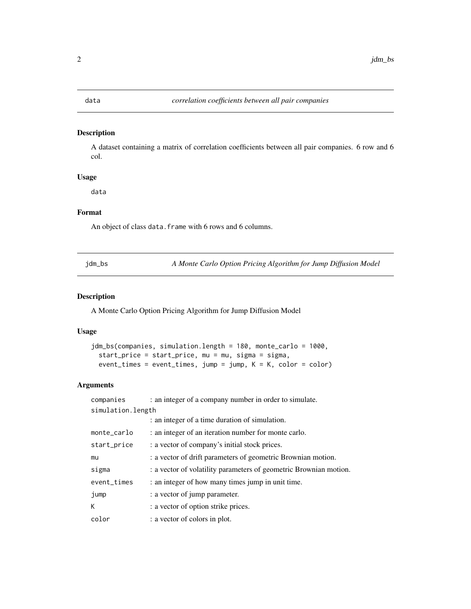#### <span id="page-1-0"></span>Description

A dataset containing a matrix of correlation coefficients between all pair companies. 6 row and 6 col.

#### Usage

data

#### Format

An object of class data. frame with 6 rows and 6 columns.

jdm\_bs *A Monte Carlo Option Pricing Algorithm for Jump Diffusion Model*

#### Description

A Monte Carlo Option Pricing Algorithm for Jump Diffusion Model

#### Usage

```
jdm_bs(companies, simulation.length = 180, monte_carlo = 1000,
start_price = start_price, mu = mu, sigma = sigma,
event_times = event_times, jump = jump, K = K, color = color)
```
#### Arguments

| companies         | : an integer of a company number in order to simulate.            |  |  |  |  |  |  |
|-------------------|-------------------------------------------------------------------|--|--|--|--|--|--|
| simulation.length |                                                                   |  |  |  |  |  |  |
|                   | : an integer of a time duration of simulation.                    |  |  |  |  |  |  |
| monte_carlo       | : an integer of an iteration number for monte carlo.              |  |  |  |  |  |  |
| start_price       | : a vector of company's initial stock prices.                     |  |  |  |  |  |  |
| mu                | : a vector of drift parameters of geometric Brownian motion.      |  |  |  |  |  |  |
| sigma             | : a vector of volatility parameters of geometric Brownian motion. |  |  |  |  |  |  |
| event_times       | : an integer of how many times jump in unit time.                 |  |  |  |  |  |  |
| jump              | : a vector of jump parameter.                                     |  |  |  |  |  |  |
| К                 | : a vector of option strike prices.                               |  |  |  |  |  |  |
| color             | : a vector of colors in plot.                                     |  |  |  |  |  |  |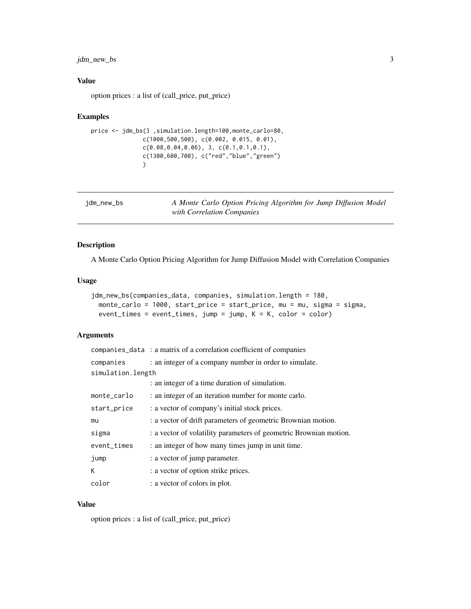#### <span id="page-2-0"></span>jdm\_new\_bs 3

#### Value

option prices : a list of (call\_price, put\_price)

#### Examples

```
price <- jdm_bs(3 ,simulation.length=100,monte_carlo=80,
              c(1000,500,500), c(0.002, 0.015, 0.01),
              c(0.08,0.04,0.06), 3, c(0.1,0.1,0.1),
              c(1300,600,700), c("red","blue","green")
              \lambda
```

| jdm_new_bs | A Monte Carlo Option Pricing Algorithm for Jump Diffusion Model |  |
|------------|-----------------------------------------------------------------|--|
|            | with Correlation Companies                                      |  |

#### Description

A Monte Carlo Option Pricing Algorithm for Jump Diffusion Model with Correlation Companies

#### Usage

```
jdm_new_bs(companies_data, companies, simulation.length = 180,
monte_carlo = 1000, start_price = start_price, mu = mu, sigma = sigma,
event_times = event_times, jump = jump, K = K, color = color)
```
#### Arguments

|                   | companies_data : a matrix of a correlation coefficient of companies |
|-------------------|---------------------------------------------------------------------|
| companies         | : an integer of a company number in order to simulate.              |
| simulation.length |                                                                     |
|                   | : an integer of a time duration of simulation.                      |
| monte_carlo       | : an integer of an iteration number for monte carlo.                |
| start_price       | : a vector of company's initial stock prices.                       |
| mu                | : a vector of drift parameters of geometric Brownian motion.        |
| sigma             | : a vector of volatility parameters of geometric Brownian motion.   |
| event_times       | : an integer of how many times jump in unit time.                   |
| jump              | : a vector of jump parameter.                                       |
| К                 | : a vector of option strike prices.                                 |
| color             | : a vector of colors in plot.                                       |

#### Value

option prices : a list of (call\_price, put\_price)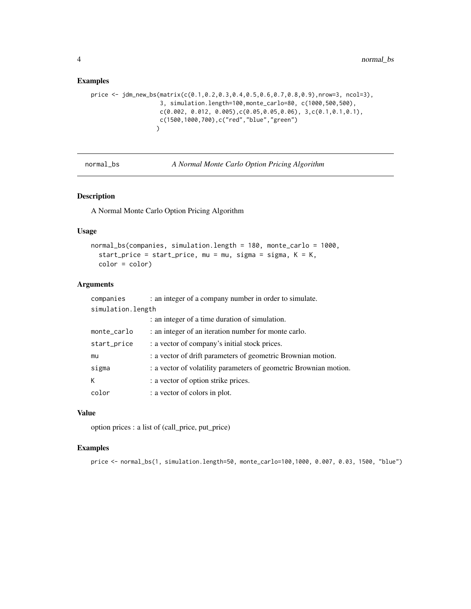#### Examples

```
price <- jdm_new_bs(matrix(c(0.1,0.2,0.3,0.4,0.5,0.6,0.7,0.8,0.9),nrow=3, ncol=3),
                   3, simulation.length=100,monte_carlo=80, c(1000,500,500),
                   c(0.002, 0.012, 0.005), c(0.05, 0.05, 0.06), 3, c(0.1, 0.1, 0.1),c(1500,1000,700),c("red","blue","green")
                  \lambda
```
normal\_bs *A Normal Monte Carlo Option Pricing Algorithm*

#### Description

A Normal Monte Carlo Option Pricing Algorithm

#### Usage

```
normal_bs(companies, simulation.length = 180, monte_carlo = 1000,
 start_price = start_price, mu = mu, sigma = sigma, K = K,
 color = color)
```
#### Arguments

| companies         | : an integer of a company number in order to simulate.            |  |  |  |  |  |  |
|-------------------|-------------------------------------------------------------------|--|--|--|--|--|--|
| simulation.length |                                                                   |  |  |  |  |  |  |
|                   | : an integer of a time duration of simulation.                    |  |  |  |  |  |  |
| monte_carlo       | : an integer of an iteration number for monte carlo.              |  |  |  |  |  |  |
| start_price       | : a vector of company's initial stock prices.                     |  |  |  |  |  |  |
| mu                | : a vector of drift parameters of geometric Brownian motion.      |  |  |  |  |  |  |
| sigma             | : a vector of volatility parameters of geometric Brownian motion. |  |  |  |  |  |  |
| К                 | : a vector of option strike prices.                               |  |  |  |  |  |  |
| color             | : a vector of colors in plot.                                     |  |  |  |  |  |  |

#### Value

option prices : a list of (call\_price, put\_price)

#### Examples

```
price <- normal_bs(1, simulation.length=50, monte_carlo=100,1000, 0.007, 0.03, 1500, "blue")
```
<span id="page-3-0"></span>